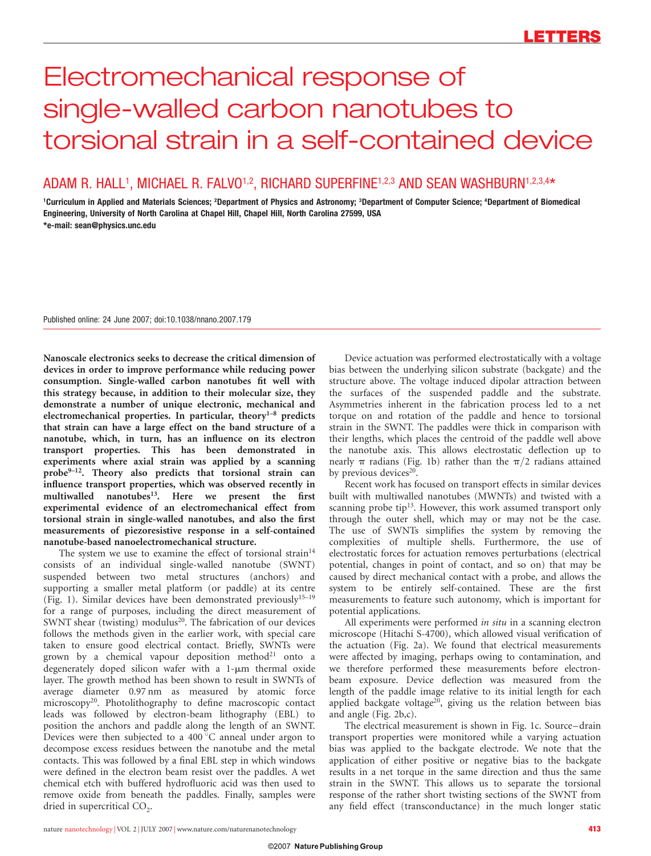# Electromechanical response of single-walled carbon nanotubes to torsional strain in a self-contained device

## ADAM R. HALL<sup>1</sup>, MICHAEL R. FALVO<sup>1,2</sup>, RICHARD SUPERFINE<sup>1,2,3</sup> AND SEAN WASHBURN<sup>1,2,3,4\*</sup>

<sup>1</sup>Curriculum in Applied and Materials Sciences; <sup>2</sup>Department of Physics and Astronomy; <sup>3</sup>Department of Computer Science; <sup>4</sup>Department of Biomedical Engineering, University of North Carolina at Chapel Hill, Chapel Hill, North Carolina 27599, USA \*e-mail: sean@physics.unc.edu

Published online: 24 June 2007; doi:10.1038/nnano.2007.179

Nanoscale electronics seeks to decrease the critical dimension of devices in order to improve performance while reducing power consumption. Single-walled carbon nanotubes fit well with this strategy because, in addition to their molecular size, they demonstrate a number of unique electronic, mechanical and electromechanical properties. In particular, theory<sup>1-8</sup> predicts that strain can have a large effect on the band structure of a nanotube, which, in turn, has an influence on its electron transport properties. This has been demonstrated in experiments where axial strain was applied by a scanning  $probe<sup>9-12</sup>$ . Theory also predicts that torsional strain can influence transport properties, which was observed recently in multiwalled nanotubes<sup>13</sup>. Here we present the first experimental evidence of an electromechanical effect from torsional strain in single-walled nanotubes, and also the first measurements of piezoresistive response in a self-contained nanotube-based nanoelectromechanical structure.

The system we use to examine the effect of torsional strain<sup>14</sup> consists of an individual single-walled nanotube (SWNT) suspended between two metal structures (anchors) and supporting a smaller metal platform (or paddle) at its centre (Fig. 1). Similar devices have been demonstrated previously<sup>15-19</sup> for a range of purposes, including the direct measurement of SWNT shear (twisting) modulus<sup>20</sup>. The fabrication of our devices follows the methods given in the earlier work, with special care taken to ensure good electrical contact. Briefly, SWNTs were grown by a chemical vapour deposition method<sup>21</sup> onto a degenerately doped silicon wafer with a  $1-\mu m$  thermal oxide layer. The growth method has been shown to result in SWNTs of average diameter 0.97 nm as measured by atomic force microscopy<sup>20</sup>. Photolithography to define macroscopic contact leads was followed by electron-beam lithography (EBL) to position the anchors and paddle along the length of an SWNT. Devices were then subjected to a 400 $\degree$ C anneal under argon to decompose excess residues between the nanotube and the metal contacts. This was followed by a final EBL step in which windows were defined in the electron beam resist over the paddles. A wet chemical etch with buffered hydrofluoric acid was then used to remove oxide from beneath the paddles. Finally, samples were dried in supercritical CO<sub>2</sub>.

Device actuation was performed electrostatically with a voltage bias between the underlying silicon substrate (backgate) and the structure above. The voltage induced dipolar attraction between the surfaces of the suspended paddle and the substrate. Asymmetries inherent in the fabrication process led to a net torque on and rotation of the paddle and hence to torsional strain in the SWNT. The paddles were thick in comparison with their lengths, which places the centroid of the paddle well above the nanotube axis. This allows electrostatic deflection up to nearly  $\pi$  radians (Fig. 1b) rather than the  $\pi/2$  radians attained by previous devices $20$ .

Recent work has focused on transport effects in similar devices built with multiwalled nanotubes (MWNTs) and twisted with a scanning probe tip $13$ . However, this work assumed transport only through the outer shell, which may or may not be the case. The use of SWNTs simplifies the system by removing the complexities of multiple shells. Furthermore, the use of electrostatic forces for actuation removes perturbations (electrical potential, changes in point of contact, and so on) that may be caused by direct mechanical contact with a probe, and allows the system to be entirely self-contained. These are the first measurements to feature such autonomy, which is important for potential applications.

All experiments were performed in situ in a scanning electron microscope (Hitachi S-4700), which allowed visual verification of the actuation (Fig. 2a). We found that electrical measurements were affected by imaging, perhaps owing to contamination, and we therefore performed these measurements before electronbeam exposure. Device deflection was measured from the length of the paddle image relative to its initial length for each applied backgate voltage<sup>20</sup>, giving us the relation between bias and angle (Fig. 2b,c).

The electrical measurement is shown in Fig. 1c. Source–drain transport properties were monitored while a varying actuation bias was applied to the backgate electrode. We note that the application of either positive or negative bias to the backgate results in a net torque in the same direction and thus the same strain in the SWNT. This allows us to separate the torsional response of the rather short twisting sections of the SWNT from any field effect (transconductance) in the much longer static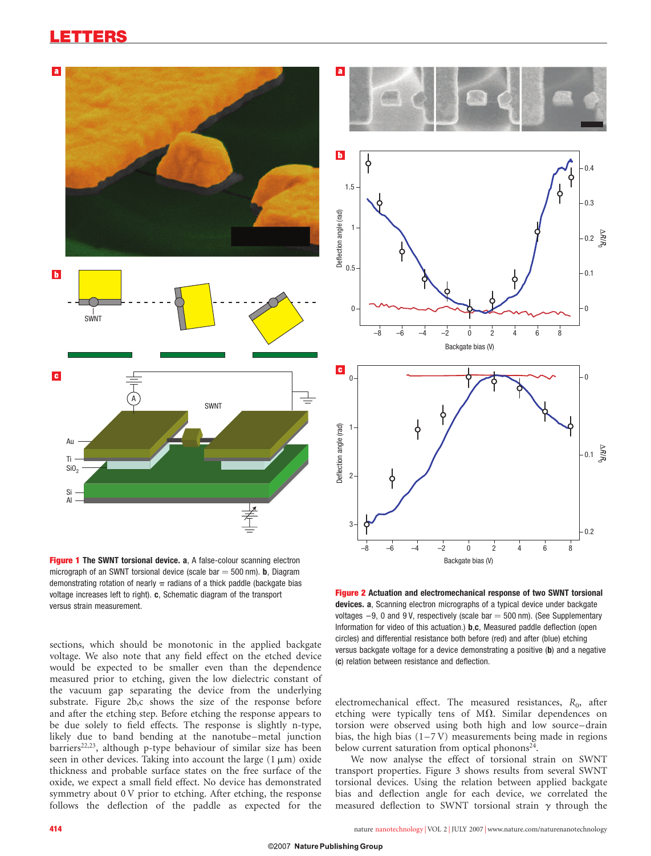## LETTERS



Figure 1 The SWNT torsional device. a, A false-colour scanning electron micrograph of an SWNT torsional device (scale bar  $=$  500 nm). **b**, Diagram demonstrating rotation of nearly  $\pi$  radians of a thick paddle (backgate bias voltage increases left to right). c, Schematic diagram of the transport versus strain measurement.

sections, which should be monotonic in the applied backgate voltage. We also note that any field effect on the etched device would be expected to be smaller even than the dependence measured prior to etching, given the low dielectric constant of the vacuum gap separating the device from the underlying substrate. Figure 2b,c shows the size of the response before and after the etching step. Before etching the response appears to be due solely to field effects. The response is slightly n-type, likely due to band bending at the nanotube–metal junction barriers<sup>22,23</sup>, although p-type behaviour of similar size has been seen in other devices. Taking into account the large  $(1 \mu m)$  oxide thickness and probable surface states on the free surface of the oxide, we expect a small field effect. No device has demonstrated symmetry about 0 V prior to etching. After etching, the response follows the deflection of the paddle as expected for the



Figure 2 Actuation and electromechanical response of two SWNT torsional devices. a, Scanning electron micrographs of a typical device under backgate voltages  $-9$ , 0 and 9 V, respectively (scale bar  $=$  500 nm). (See Supplementary Information for video of this actuation.) **b,c**, Measured paddle deflection (open circles) and differential resistance both before (red) and after (blue) etching versus backgate voltage for a device demonstrating a positive (b) and a negative (c) relation between resistance and deflection.

electromechanical effect. The measured resistances,  $R_0$ , after etching were typically tens of  $M\Omega$ . Similar dependences on torsion were observed using both high and low source–drain bias, the high bias  $(1-7V)$  measurements being made in regions below current saturation from optical phonons $24$ .

We now analyse the effect of torsional strain on SWNT transport properties. Figure 3 shows results from several SWNT torsional devices. Using the relation between applied backgate bias and deflection angle for each device, we correlated the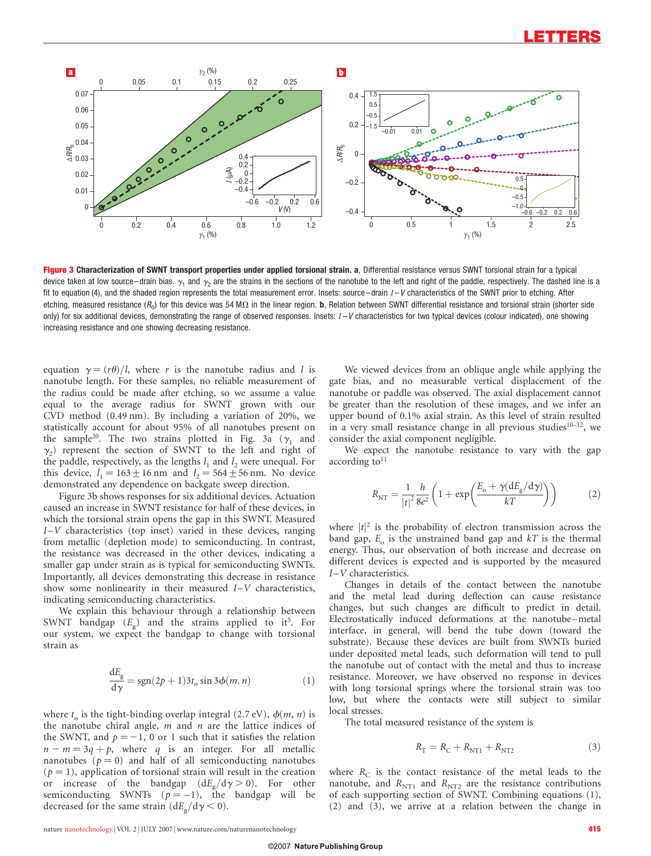

Figure 3 Characterization of SWNT transport properties under applied torsional strain. a, Differential resistance versus SWNT torsional strain for a typical device taken at low source–drain bias.  $\gamma_1$  and  $\gamma_2$  are the strains in the sections of the nanotube to the left and right of the paddle, respectively. The dashed line is a fit to equation (4), and the shaded region represents the total measurement error. Insets: source–drain  $I-V$  characteristics of the SWNT prior to etching. After etching, measured resistance ( $R_0$ ) for this device was 54 M $\Omega$  in the linear region. **b**, Relation between SWNT differential resistance and torsional strain (shorter side only) for six additional devices, demonstrating the range of observed responses. Insets:  $I-V$  characteristics for two typical devices (colour indicated), one showing increasing resistance and one showing decreasing resistance.

equation  $\gamma = (r\theta)/l$ , where r is the nanotube radius and l is nanotube length. For these samples, no reliable measurement of the radius could be made after etching, so we assume a value equal to the average radius for SWNT grown with our CVD method (0.49 nm). By including a variation of 20%, we statistically account for about 95% of all nanotubes present on the sample<sup>20</sup>. The two strains plotted in Fig. 3a ( $\gamma_1$  and  $\gamma_2$ ) represent the section of SWNT to the left and right of the paddle, respectively, as the lengths  $l_1$  and  $l_2$  were unequal. For this device,  $l_1 = 163 \pm 16$  nm and  $l_2 = 564 \pm 56$  nm. No device demonstrated any dependence on backgate sweep direction.

Figure 3b shows responses for six additional devices. Actuation caused an increase in SWNT resistance for half of these devices, in which the torsional strain opens the gap in this SWNT. Measured  $I-V$  characteristics (top inset) varied in these devices, ranging from metallic (depletion mode) to semiconducting. In contrast, the resistance was decreased in the other devices, indicating a smaller gap under strain as is typical for semiconducting SWNTs. Importantly, all devices demonstrating this decrease in resistance show some nonlinearity in their measured  $I-V$  characteristics, indicating semiconducting characteristics.

We explain this behaviour through a relationship between SWNT bandgap  $(E_{\text{g}})$  and the strains applied to it<sup>5</sup>. For our system, we expect the bandgap to change with torsional strain as

$$
\frac{dE_g}{d\gamma} = sgn(2p+1)3t_o \sin 3\phi(m,n)
$$
 (1)

where  $t_0$  is the tight-binding overlap integral (2.7 eV),  $\phi(m, n)$  is the nanotube chiral angle,  $m$  and  $n$  are the lattice indices of the SWNT, and  $p = -1$ , 0 or 1 such that it satisfies the relation  $n - m = 3q + p$ , where q is an integer. For all metallic nanotubes ( $p = 0$ ) and half of all semiconducting nanotubes  $(p = 1)$ , application of torsional strain will result in the creation or increase of the bandgap  $(dE_g/d\gamma > 0)$ . For other semiconducting SWNTs  $(p = -1)$ , the bandgap will be decreased for the same strain  $(dE_g/d\gamma < 0)$ .

We viewed devices from an oblique angle while applying the gate bias, and no measurable vertical displacement of the nanotube or paddle was observed. The axial displacement cannot be greater than the resolution of these images, and we infer an upper bound of 0.1% axial strain. As this level of strain resulted in a very small resistance change in all previous studies $10-12$ , we consider the axial component negligible.

We expect the nanotube resistance to vary with the gap according to $11$ 

$$
R_{\rm NT} = \frac{1}{|t|^2} \frac{h}{8e^2} \left( 1 + \exp\left(\frac{E_o + \gamma (dE_g/d\gamma)}{kT}\right) \right) \tag{2}
$$

where  $|t|^2$  is the probability of electron transmission across the band gap,  $E_0$  is the unstrained band gap and  $kT$  is the thermal energy. Thus, our observation of both increase and decrease on different devices is expected and is supported by the measured I–V characteristics.

Changes in details of the contact between the nanotube and the metal lead during deflection can cause resistance changes, but such changes are difficult to predict in detail. Electrostatically induced deformations at the nanotube–metal interface, in general, will bend the tube down (toward the substrate). Because these devices are built from SWNTs buried under deposited metal leads, such deformation will tend to pull the nanotube out of contact with the metal and thus to increase resistance. Moreover, we have observed no response in devices with long torsional springs where the torsional strain was too low, but where the contacts were still subject to similar local stresses.

The total measured resistance of the system is

$$
R_{\rm T} = R_{\rm C} + R_{\rm NT1} + R_{\rm NT2} \tag{3}
$$

where  $R_C$  is the contact resistance of the metal leads to the nanotube, and  $R_{\text{NT1}}$  and  $R_{\text{NT2}}$  are the resistance contributions of each supporting section of SWNT. Combining equations (1), (2) and (3), we arrive at a relation between the change in